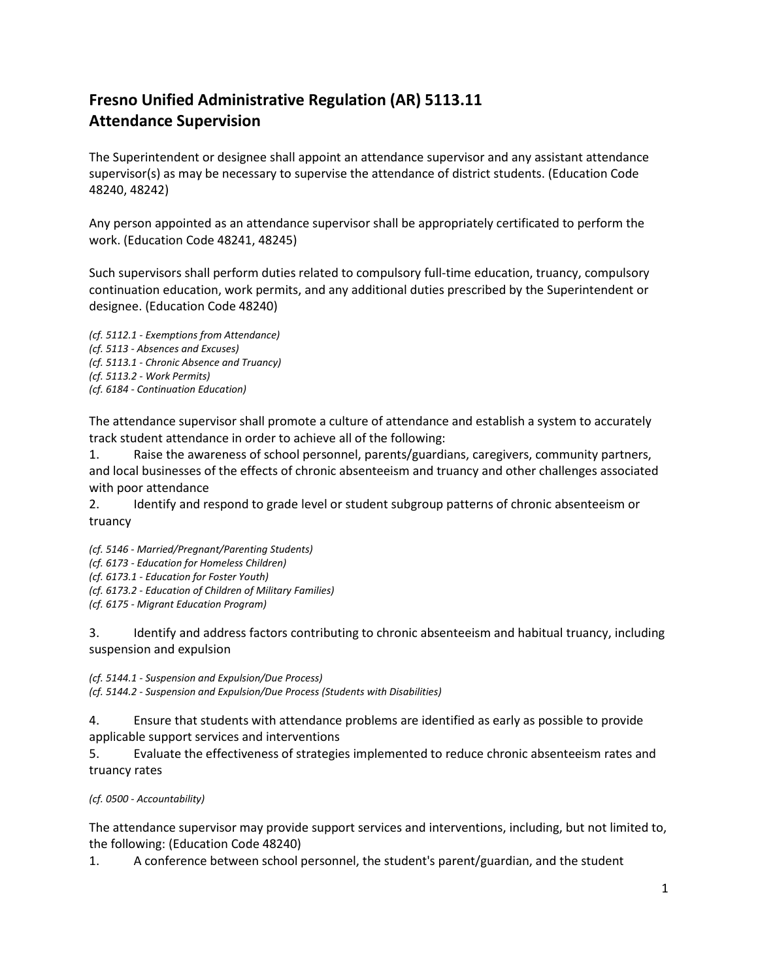## **Fresno Unified Administrative Regulation (AR) 5113.11 Attendance Supervision**

The Superintendent or designee shall appoint an attendance supervisor and any assistant attendance supervisor(s) as may be necessary to supervise the attendance of district students. (Education Code 48240, 48242)

Any person appointed as an attendance supervisor shall be appropriately certificated to perform the work. (Education Code 48241, 48245)

Such supervisors shall perform duties related to compulsory full-time education, truancy, compulsory continuation education, work permits, and any additional duties prescribed by the Superintendent or designee. (Education Code 48240)

*(cf. 5112.1 - Exemptions from Attendance) (cf. 5113 - Absences and Excuses) (cf. 5113.1 - Chronic Absence and Truancy) (cf. 5113.2 - Work Permits) (cf. 6184 - Continuation Education)*

The attendance supervisor shall promote a culture of attendance and establish a system to accurately track student attendance in order to achieve all of the following:

1. Raise the awareness of school personnel, parents/guardians, caregivers, community partners, and local businesses of the effects of chronic absenteeism and truancy and other challenges associated with poor attendance

2. Identify and respond to grade level or student subgroup patterns of chronic absenteeism or truancy

*(cf. 5146 - Married/Pregnant/Parenting Students) (cf. 6173 - Education for Homeless Children) (cf. 6173.1 - Education for Foster Youth) (cf. 6173.2 - Education of Children of Military Families) (cf. 6175 - Migrant Education Program)*

3. Identify and address factors contributing to chronic absenteeism and habitual truancy, including suspension and expulsion

*(cf. 5144.1 - Suspension and Expulsion/Due Process) (cf. 5144.2 - Suspension and Expulsion/Due Process (Students with Disabilities)*

4. Ensure that students with attendance problems are identified as early as possible to provide applicable support services and interventions

5. Evaluate the effectiveness of strategies implemented to reduce chronic absenteeism rates and truancy rates

*(cf. 0500 - Accountability)*

The attendance supervisor may provide support services and interventions, including, but not limited to, the following: (Education Code 48240)

1. A conference between school personnel, the student's parent/guardian, and the student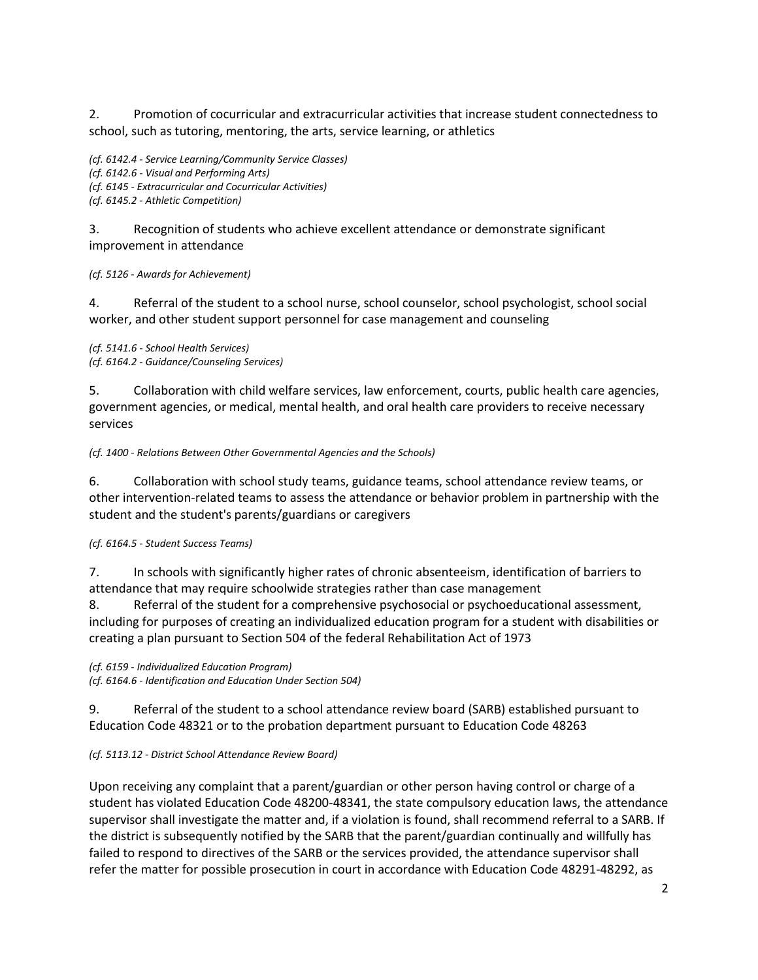2. Promotion of cocurricular and extracurricular activities that increase student connectedness to school, such as tutoring, mentoring, the arts, service learning, or athletics

*(cf. 6142.4 - Service Learning/Community Service Classes) (cf. 6142.6 - Visual and Performing Arts) (cf. 6145 - Extracurricular and Cocurricular Activities) (cf. 6145.2 - Athletic Competition)*

3. Recognition of students who achieve excellent attendance or demonstrate significant improvement in attendance

*(cf. 5126 - Awards for Achievement)*

4. Referral of the student to a school nurse, school counselor, school psychologist, school social worker, and other student support personnel for case management and counseling

*(cf. 5141.6 - School Health Services) (cf. 6164.2 - Guidance/Counseling Services)*

5. Collaboration with child welfare services, law enforcement, courts, public health care agencies, government agencies, or medical, mental health, and oral health care providers to receive necessary services

*(cf. 1400 - Relations Between Other Governmental Agencies and the Schools)*

6. Collaboration with school study teams, guidance teams, school attendance review teams, or other intervention-related teams to assess the attendance or behavior problem in partnership with the student and the student's parents/guardians or caregivers

*(cf. 6164.5 - Student Success Teams)*

7. In schools with significantly higher rates of chronic absenteeism, identification of barriers to attendance that may require schoolwide strategies rather than case management

8. Referral of the student for a comprehensive psychosocial or psychoeducational assessment, including for purposes of creating an individualized education program for a student with disabilities or creating a plan pursuant to Section 504 of the federal Rehabilitation Act of 1973

*(cf. 6159 - Individualized Education Program) (cf. 6164.6 - Identification and Education Under Section 504)*

9. Referral of the student to a school attendance review board (SARB) established pursuant to Education Code 48321 or to the probation department pursuant to Education Code 48263

*(cf. 5113.12 - District School Attendance Review Board)*

Upon receiving any complaint that a parent/guardian or other person having control or charge of a student has violated Education Code 48200-48341, the state compulsory education laws, the attendance supervisor shall investigate the matter and, if a violation is found, shall recommend referral to a SARB. If the district is subsequently notified by the SARB that the parent/guardian continually and willfully has failed to respond to directives of the SARB or the services provided, the attendance supervisor shall refer the matter for possible prosecution in court in accordance with Education Code 48291-48292, as